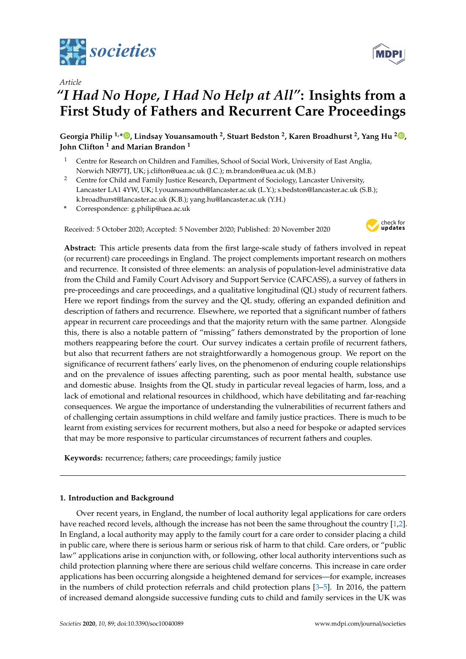

*Article*

# *"I Had No Hope, I Had No Help at All"***: Insights from a First Study of Fathers and Recurrent Care Proceedings**

**Georgia Philip 1,[\\*](https://orcid.org/0000-0003-4243-407X) , Lindsay Youansamouth <sup>2</sup> , Stuart Bedston <sup>2</sup> , Karen Broadhurst <sup>2</sup> , Yang Hu <sup>2</sup> [,](https://orcid.org/0000-0003-2027-8491) John Clifton <sup>1</sup> and Marian Brandon <sup>1</sup>**

- <sup>1</sup> Centre for Research on Children and Families, School of Social Work, University of East Anglia, Norwich NR97TJ, UK; j.clifton@uea.ac.uk (J.C.); m.brandon@uea.ac.uk (M.B.)
- <sup>2</sup> Centre for Child and Family Justice Research, Department of Sociology, Lancaster University, Lancaster LA1 4YW, UK; l.youansamouth@lancaster.ac.uk (L.Y.); s.bedston@lancaster.ac.uk (S.B.); k.broadhurst@lancaster.ac.uk (K.B.); yang.hu@lancaster.ac.uk (Y.H.)
- **\*** Correspondence: g.philip@uea.ac.uk

Received: 5 October 2020; Accepted: 5 November 2020; Published: 20 November 2020



**Abstract:** This article presents data from the first large-scale study of fathers involved in repeat (or recurrent) care proceedings in England. The project complements important research on mothers and recurrence. It consisted of three elements: an analysis of population-level administrative data from the Child and Family Court Advisory and Support Service (CAFCASS), a survey of fathers in pre-proceedings and care proceedings, and a qualitative longitudinal (QL) study of recurrent fathers. Here we report findings from the survey and the QL study, offering an expanded definition and description of fathers and recurrence. Elsewhere, we reported that a significant number of fathers appear in recurrent care proceedings and that the majority return with the same partner. Alongside this, there is also a notable pattern of "missing" fathers demonstrated by the proportion of lone mothers reappearing before the court. Our survey indicates a certain profile of recurrent fathers, but also that recurrent fathers are not straightforwardly a homogenous group. We report on the significance of recurrent fathers' early lives, on the phenomenon of enduring couple relationships and on the prevalence of issues affecting parenting, such as poor mental health, substance use and domestic abuse. Insights from the QL study in particular reveal legacies of harm, loss, and a lack of emotional and relational resources in childhood, which have debilitating and far-reaching consequences. We argue the importance of understanding the vulnerabilities of recurrent fathers and of challenging certain assumptions in child welfare and family justice practices. There is much to be learnt from existing services for recurrent mothers, but also a need for bespoke or adapted services that may be more responsive to particular circumstances of recurrent fathers and couples.

**Keywords:** recurrence; fathers; care proceedings; family justice

# **1. Introduction and Background**

Over recent years, in England, the number of local authority legal applications for care orders have reached record levels, although the increase has not been the same throughout the country [\[1,](#page-13-0)[2\]](#page-13-1). In England, a local authority may apply to the family court for a care order to consider placing a child in public care, where there is serious harm or serious risk of harm to that child. Care orders, or "public law" applications arise in conjunction with, or following, other local authority interventions such as child protection planning where there are serious child welfare concerns. This increase in care order applications has been occurring alongside a heightened demand for services—for example, increases in the numbers of child protection referrals and child protection plans [\[3](#page-13-2)[–5\]](#page-13-3). In 2016, the pattern of increased demand alongside successive funding cuts to child and family services in the UK was

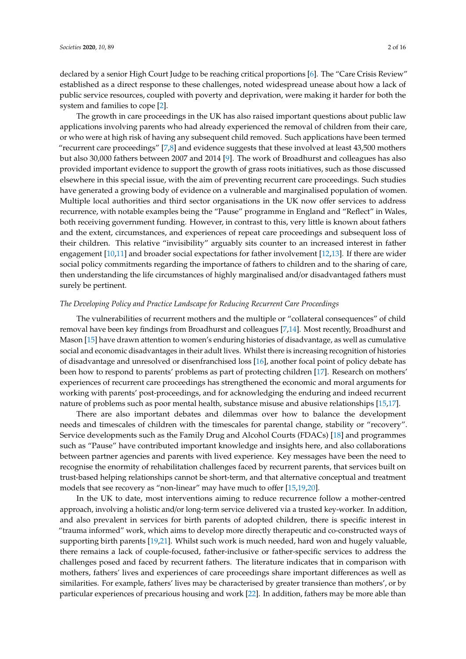declared by a senior High Court Judge to be reaching critical proportions [\[6\]](#page-13-4). The "Care Crisis Review" established as a direct response to these challenges, noted widespread unease about how a lack of public service resources, coupled with poverty and deprivation, were making it harder for both the system and families to cope [\[2\]](#page-13-1).

The growth in care proceedings in the UK has also raised important questions about public law applications involving parents who had already experienced the removal of children from their care, or who were at high risk of having any subsequent child removed. Such applications have been termed "recurrent care proceedings" [\[7,](#page-13-5)[8\]](#page-13-6) and evidence suggests that these involved at least 43,500 mothers but also 30,000 fathers between 2007 and 2014 [\[9\]](#page-13-7). The work of Broadhurst and colleagues has also provided important evidence to support the growth of grass roots initiatives, such as those discussed elsewhere in this special issue, with the aim of preventing recurrent care proceedings. Such studies have generated a growing body of evidence on a vulnerable and marginalised population of women. Multiple local authorities and third sector organisations in the UK now offer services to address recurrence, with notable examples being the "Pause" programme in England and "Reflect" in Wales, both receiving government funding. However, in contrast to this, very little is known about fathers and the extent, circumstances, and experiences of repeat care proceedings and subsequent loss of their children. This relative "invisibility" arguably sits counter to an increased interest in father engagement [\[10](#page-13-8)[,11\]](#page-13-9) and broader social expectations for father involvement [\[12,](#page-13-10)[13\]](#page-13-11). If there are wider social policy commitments regarding the importance of fathers to children and to the sharing of care, then understanding the life circumstances of highly marginalised and/or disadvantaged fathers must surely be pertinent.

# *The Developing Policy and Practice Landscape for Reducing Recurrent Care Proceedings*

The vulnerabilities of recurrent mothers and the multiple or "collateral consequences" of child removal have been key findings from Broadhurst and colleagues [\[7,](#page-13-5)[14\]](#page-13-12). Most recently, Broadhurst and Mason [\[15\]](#page-14-0) have drawn attention to women's enduring histories of disadvantage, as well as cumulative social and economic disadvantages in their adult lives. Whilst there is increasing recognition of histories of disadvantage and unresolved or disenfranchised loss [\[16\]](#page-14-1), another focal point of policy debate has been how to respond to parents' problems as part of protecting children [\[17\]](#page-14-2). Research on mothers' experiences of recurrent care proceedings has strengthened the economic and moral arguments for working with parents' post-proceedings, and for acknowledging the enduring and indeed recurrent nature of problems such as poor mental health, substance misuse and abusive relationships [\[15](#page-14-0)[,17\]](#page-14-2).

There are also important debates and dilemmas over how to balance the development needs and timescales of children with the timescales for parental change, stability or "recovery". Service developments such as the Family Drug and Alcohol Courts (FDACs) [\[18\]](#page-14-3) and programmes such as "Pause" have contributed important knowledge and insights here, and also collaborations between partner agencies and parents with lived experience. Key messages have been the need to recognise the enormity of rehabilitation challenges faced by recurrent parents, that services built on trust-based helping relationships cannot be short-term, and that alternative conceptual and treatment models that see recovery as "non-linear" may have much to offer [\[15](#page-14-0)[,19](#page-14-4)[,20\]](#page-14-5).

In the UK to date, most interventions aiming to reduce recurrence follow a mother-centred approach, involving a holistic and/or long-term service delivered via a trusted key-worker. In addition, and also prevalent in services for birth parents of adopted children, there is specific interest in "trauma informed" work, which aims to develop more directly therapeutic and co-constructed ways of supporting birth parents [\[19,](#page-14-4)[21\]](#page-14-6). Whilst such work is much needed, hard won and hugely valuable, there remains a lack of couple-focused, father-inclusive or father-specific services to address the challenges posed and faced by recurrent fathers. The literature indicates that in comparison with mothers, fathers' lives and experiences of care proceedings share important differences as well as similarities. For example, fathers' lives may be characterised by greater transience than mothers', or by particular experiences of precarious housing and work [\[22\]](#page-14-7). In addition, fathers may be more able than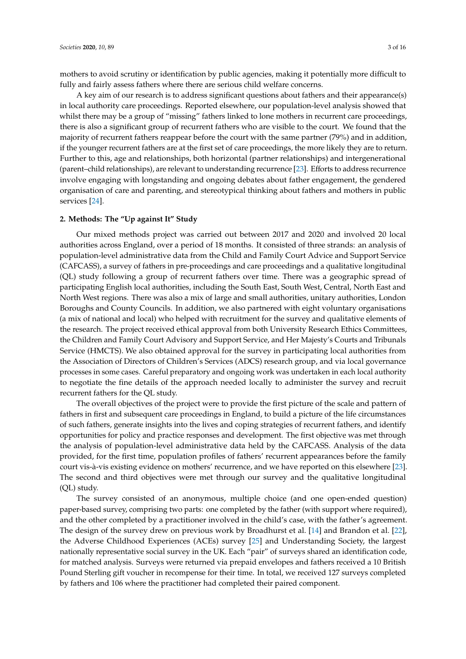mothers to avoid scrutiny or identification by public agencies, making it potentially more difficult to fully and fairly assess fathers where there are serious child welfare concerns.

A key aim of our research is to address significant questions about fathers and their appearance(s) in local authority care proceedings. Reported elsewhere, our population-level analysis showed that whilst there may be a group of "missing" fathers linked to lone mothers in recurrent care proceedings, there is also a significant group of recurrent fathers who are visible to the court. We found that the majority of recurrent fathers reappear before the court with the same partner (79%) and in addition, if the younger recurrent fathers are at the first set of care proceedings, the more likely they are to return. Further to this, age and relationships, both horizontal (partner relationships) and intergenerational (parent–child relationships), are relevant to understanding recurrence [\[23\]](#page-14-8). Efforts to address recurrence involve engaging with longstanding and ongoing debates about father engagement, the gendered organisation of care and parenting, and stereotypical thinking about fathers and mothers in public services [\[24\]](#page-14-9).

#### **2. Methods: The "Up against It" Study**

Our mixed methods project was carried out between 2017 and 2020 and involved 20 local authorities across England, over a period of 18 months. It consisted of three strands: an analysis of population-level administrative data from the Child and Family Court Advice and Support Service (CAFCASS), a survey of fathers in pre-proceedings and care proceedings and a qualitative longitudinal (QL) study following a group of recurrent fathers over time. There was a geographic spread of participating English local authorities, including the South East, South West, Central, North East and North West regions. There was also a mix of large and small authorities, unitary authorities, London Boroughs and County Councils. In addition, we also partnered with eight voluntary organisations (a mix of national and local) who helped with recruitment for the survey and qualitative elements of the research. The project received ethical approval from both University Research Ethics Committees, the Children and Family Court Advisory and Support Service, and Her Majesty's Courts and Tribunals Service (HMCTS). We also obtained approval for the survey in participating local authorities from the Association of Directors of Children's Services (ADCS) research group, and via local governance processes in some cases. Careful preparatory and ongoing work was undertaken in each local authority to negotiate the fine details of the approach needed locally to administer the survey and recruit recurrent fathers for the QL study.

The overall objectives of the project were to provide the first picture of the scale and pattern of fathers in first and subsequent care proceedings in England, to build a picture of the life circumstances of such fathers, generate insights into the lives and coping strategies of recurrent fathers, and identify opportunities for policy and practice responses and development. The first objective was met through the analysis of population-level administrative data held by the CAFCASS. Analysis of the data provided, for the first time, population profiles of fathers' recurrent appearances before the family court vis-à-vis existing evidence on mothers' recurrence, and we have reported on this elsewhere [\[23\]](#page-14-8). The second and third objectives were met through our survey and the qualitative longitudinal (QL) study.

The survey consisted of an anonymous, multiple choice (and one open-ended question) paper-based survey, comprising two parts: one completed by the father (with support where required), and the other completed by a practitioner involved in the child's case, with the father's agreement. The design of the survey drew on previous work by Broadhurst et al. [\[14\]](#page-13-12) and Brandon et al. [\[22\]](#page-14-7), the Adverse Childhood Experiences (ACEs) survey [\[25\]](#page-14-10) and Understanding Society, the largest nationally representative social survey in the UK. Each "pair" of surveys shared an identification code, for matched analysis. Surveys were returned via prepaid envelopes and fathers received a 10 British Pound Sterling gift voucher in recompense for their time. In total, we received 127 surveys completed by fathers and 106 where the practitioner had completed their paired component.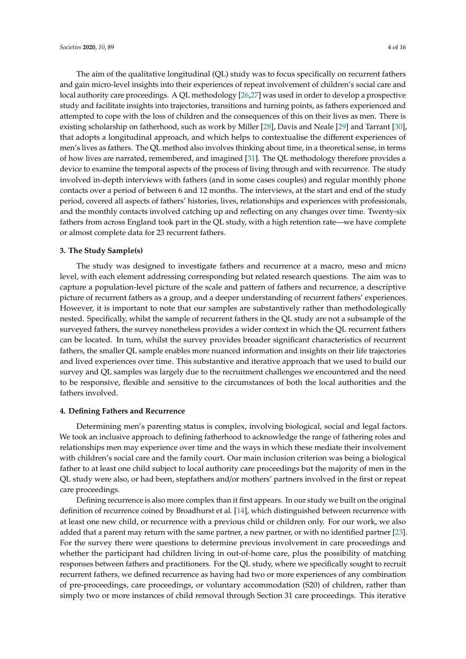The aim of the qualitative longitudinal (QL) study was to focus specifically on recurrent fathers and gain micro-level insights into their experiences of repeat involvement of children's social care and local authority care proceedings. A QL methodology [\[26](#page-14-11)[,27\]](#page-14-12) was used in order to develop a prospective study and facilitate insights into trajectories, transitions and turning points, as fathers experienced and attempted to cope with the loss of children and the consequences of this on their lives as men. There is existing scholarship on fatherhood, such as work by Miller [\[28\]](#page-14-13), Davis and Neale [\[29\]](#page-14-14) and Tarrant [\[30\]](#page-14-15), that adopts a longitudinal approach, and which helps to contextualise the different experiences of men's lives as fathers. The QL method also involves thinking about time, in a theoretical sense, in terms of how lives are narrated, remembered, and imagined [\[31\]](#page-14-16). The QL methodology therefore provides a device to examine the temporal aspects of the process of living through and with recurrence. The study involved in-depth interviews with fathers (and in some cases couples) and regular monthly phone contacts over a period of between 6 and 12 months. The interviews, at the start and end of the study period, covered all aspects of fathers' histories, lives, relationships and experiences with professionals, and the monthly contacts involved catching up and reflecting on any changes over time. Twenty-six fathers from across England took part in the QL study, with a high retention rate—we have complete or almost complete data for 23 recurrent fathers.

#### **3. The Study Sample(s)**

The study was designed to investigate fathers and recurrence at a macro, meso and micro level, with each element addressing corresponding but related research questions. The aim was to capture a population-level picture of the scale and pattern of fathers and recurrence, a descriptive picture of recurrent fathers as a group, and a deeper understanding of recurrent fathers' experiences. However, it is important to note that our samples are substantively rather than methodologically nested. Specifically, whilst the sample of recurrent fathers in the QL study are not a subsample of the surveyed fathers, the survey nonetheless provides a wider context in which the QL recurrent fathers can be located. In turn, whilst the survey provides broader significant characteristics of recurrent fathers, the smaller QL sample enables more nuanced information and insights on their life trajectories and lived experiences over time. This substantive and iterative approach that we used to build our survey and QL samples was largely due to the recruitment challenges we encountered and the need to be responsive, flexible and sensitive to the circumstances of both the local authorities and the fathers involved.

#### **4. Defining Fathers and Recurrence**

Determining men's parenting status is complex, involving biological, social and legal factors. We took an inclusive approach to defining fatherhood to acknowledge the range of fathering roles and relationships men may experience over time and the ways in which these mediate their involvement with children's social care and the family court. Our main inclusion criterion was being a biological father to at least one child subject to local authority care proceedings but the majority of men in the QL study were also, or had been, stepfathers and/or mothers' partners involved in the first or repeat care proceedings.

Defining recurrence is also more complex than it first appears. In our study we built on the original definition of recurrence coined by Broadhurst et al. [\[14\]](#page-13-12), which distinguished between recurrence with at least one new child, or recurrence with a previous child or children only. For our work, we also added that a parent may return with the same partner, a new partner, or with no identified partner [\[23\]](#page-14-8). For the survey there were questions to determine previous involvement in care proceedings and whether the participant had children living in out-of-home care, plus the possibility of matching responses between fathers and practitioners. For the QL study, where we specifically sought to recruit recurrent fathers, we defined recurrence as having had two or more experiences of any combination of pre-proceedings, care proceedings, or voluntary accommodation (S20) of children, rather than simply two or more instances of child removal through Section 31 care proceedings. This iterative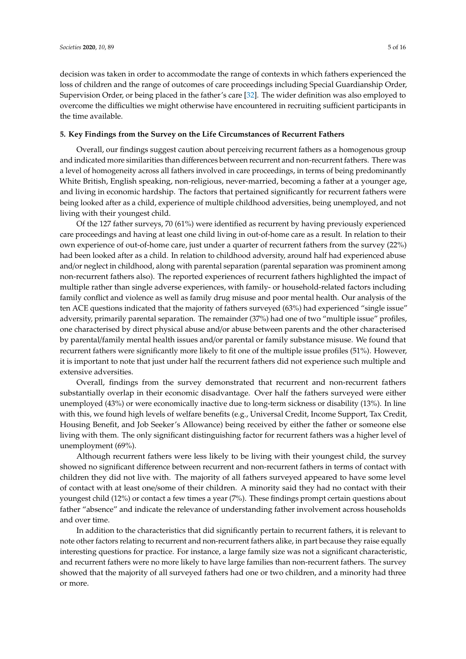decision was taken in order to accommodate the range of contexts in which fathers experienced the loss of children and the range of outcomes of care proceedings including Special Guardianship Order, Supervision Order, or being placed in the father's care [\[32\]](#page-14-17). The wider definition was also employed to overcome the difficulties we might otherwise have encountered in recruiting sufficient participants in the time available.

#### **5. Key Findings from the Survey on the Life Circumstances of Recurrent Fathers**

Overall, our findings suggest caution about perceiving recurrent fathers as a homogenous group and indicated more similarities than differences between recurrent and non-recurrent fathers. There was a level of homogeneity across all fathers involved in care proceedings, in terms of being predominantly White British, English speaking, non-religious, never-married, becoming a father at a younger age, and living in economic hardship. The factors that pertained significantly for recurrent fathers were being looked after as a child, experience of multiple childhood adversities, being unemployed, and not living with their youngest child.

Of the 127 father surveys, 70 (61%) were identified as recurrent by having previously experienced care proceedings and having at least one child living in out-of-home care as a result. In relation to their own experience of out-of-home care, just under a quarter of recurrent fathers from the survey (22%) had been looked after as a child. In relation to childhood adversity, around half had experienced abuse and/or neglect in childhood, along with parental separation (parental separation was prominent among non-recurrent fathers also). The reported experiences of recurrent fathers highlighted the impact of multiple rather than single adverse experiences, with family- or household-related factors including family conflict and violence as well as family drug misuse and poor mental health. Our analysis of the ten ACE questions indicated that the majority of fathers surveyed (63%) had experienced "single issue" adversity, primarily parental separation. The remainder (37%) had one of two "multiple issue" profiles, one characterised by direct physical abuse and/or abuse between parents and the other characterised by parental/family mental health issues and/or parental or family substance misuse. We found that recurrent fathers were significantly more likely to fit one of the multiple issue profiles (51%). However, it is important to note that just under half the recurrent fathers did not experience such multiple and extensive adversities.

Overall, findings from the survey demonstrated that recurrent and non-recurrent fathers substantially overlap in their economic disadvantage. Over half the fathers surveyed were either unemployed (43%) or were economically inactive due to long-term sickness or disability (13%). In line with this, we found high levels of welfare benefits (e.g., Universal Credit, Income Support, Tax Credit, Housing Benefit, and Job Seeker's Allowance) being received by either the father or someone else living with them. The only significant distinguishing factor for recurrent fathers was a higher level of unemployment (69%).

Although recurrent fathers were less likely to be living with their youngest child, the survey showed no significant difference between recurrent and non-recurrent fathers in terms of contact with children they did not live with. The majority of all fathers surveyed appeared to have some level of contact with at least one/some of their children. A minority said they had no contact with their youngest child (12%) or contact a few times a year (7%). These findings prompt certain questions about father "absence" and indicate the relevance of understanding father involvement across households and over time.

In addition to the characteristics that did significantly pertain to recurrent fathers, it is relevant to note other factors relating to recurrent and non-recurrent fathers alike, in part because they raise equally interesting questions for practice. For instance, a large family size was not a significant characteristic, and recurrent fathers were no more likely to have large families than non-recurrent fathers. The survey showed that the majority of all surveyed fathers had one or two children, and a minority had three or more.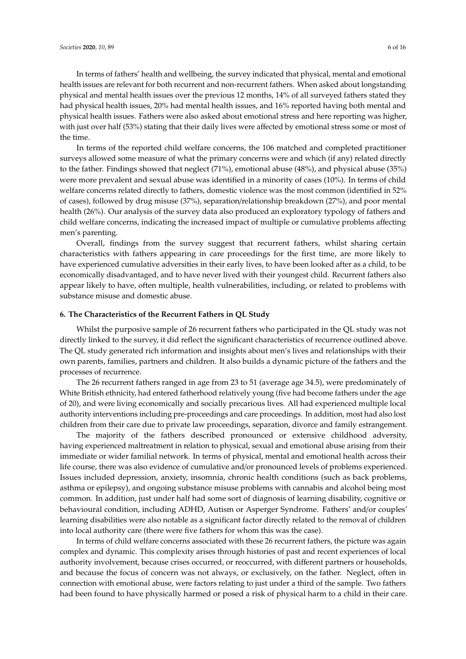In terms of fathers' health and wellbeing, the survey indicated that physical, mental and emotional health issues are relevant for both recurrent and non-recurrent fathers. When asked about longstanding physical and mental health issues over the previous 12 months, 14% of all surveyed fathers stated they had physical health issues, 20% had mental health issues, and 16% reported having both mental and physical health issues. Fathers were also asked about emotional stress and here reporting was higher, with just over half (53%) stating that their daily lives were affected by emotional stress some or most of the time.

In terms of the reported child welfare concerns, the 106 matched and completed practitioner surveys allowed some measure of what the primary concerns were and which (if any) related directly to the father. Findings showed that neglect (71%), emotional abuse (48%), and physical abuse (35%) were more prevalent and sexual abuse was identified in a minority of cases (10%). In terms of child welfare concerns related directly to fathers, domestic violence was the most common (identified in 52% of cases), followed by drug misuse (37%), separation/relationship breakdown (27%), and poor mental health (26%). Our analysis of the survey data also produced an exploratory typology of fathers and child welfare concerns, indicating the increased impact of multiple or cumulative problems affecting men's parenting.

Overall, findings from the survey suggest that recurrent fathers, whilst sharing certain characteristics with fathers appearing in care proceedings for the first time, are more likely to have experienced cumulative adversities in their early lives, to have been looked after as a child, to be economically disadvantaged, and to have never lived with their youngest child. Recurrent fathers also appear likely to have, often multiple, health vulnerabilities, including, or related to problems with substance misuse and domestic abuse.

#### **6. The Characteristics of the Recurrent Fathers in QL Study**

Whilst the purposive sample of 26 recurrent fathers who participated in the QL study was not directly linked to the survey, it did reflect the significant characteristics of recurrence outlined above. The QL study generated rich information and insights about men's lives and relationships with their own parents, families, partners and children. It also builds a dynamic picture of the fathers and the processes of recurrence.

The 26 recurrent fathers ranged in age from 23 to 51 (average age 34.5), were predominately of White British ethnicity, had entered fatherhood relatively young (five had become fathers under the age of 20), and were living economically and socially precarious lives. All had experienced multiple local authority interventions including pre-proceedings and care proceedings. In addition, most had also lost children from their care due to private law proceedings, separation, divorce and family estrangement.

The majority of the fathers described pronounced or extensive childhood adversity, having experienced maltreatment in relation to physical, sexual and emotional abuse arising from their immediate or wider familial network. In terms of physical, mental and emotional health across their life course, there was also evidence of cumulative and/or pronounced levels of problems experienced. Issues included depression, anxiety, insomnia, chronic health conditions (such as back problems, asthma or epilepsy), and ongoing substance misuse problems with cannabis and alcohol being most common. In addition, just under half had some sort of diagnosis of learning disability, cognitive or behavioural condition, including ADHD, Autism or Asperger Syndrome. Fathers' and/or couples' learning disabilities were also notable as a significant factor directly related to the removal of children into local authority care (there were five fathers for whom this was the case).

In terms of child welfare concerns associated with these 26 recurrent fathers, the picture was again complex and dynamic. This complexity arises through histories of past and recent experiences of local authority involvement, because crises occurred, or reoccurred, with different partners or households, and because the focus of concern was not always, or exclusively, on the father. Neglect, often in connection with emotional abuse, were factors relating to just under a third of the sample. Two fathers had been found to have physically harmed or posed a risk of physical harm to a child in their care.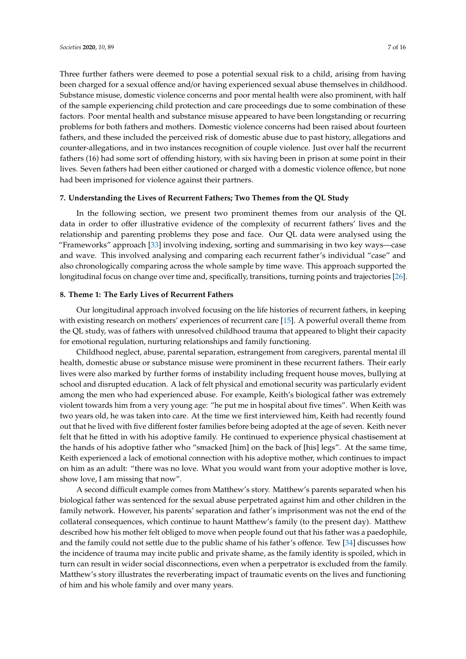Three further fathers were deemed to pose a potential sexual risk to a child, arising from having been charged for a sexual offence and/or having experienced sexual abuse themselves in childhood. Substance misuse, domestic violence concerns and poor mental health were also prominent, with half of the sample experiencing child protection and care proceedings due to some combination of these factors. Poor mental health and substance misuse appeared to have been longstanding or recurring problems for both fathers and mothers. Domestic violence concerns had been raised about fourteen fathers, and these included the perceived risk of domestic abuse due to past history, allegations and counter-allegations, and in two instances recognition of couple violence. Just over half the recurrent fathers (16) had some sort of offending history, with six having been in prison at some point in their lives. Seven fathers had been either cautioned or charged with a domestic violence offence, but none had been imprisoned for violence against their partners.

# **7. Understanding the Lives of Recurrent Fathers; Two Themes from the QL Study**

In the following section, we present two prominent themes from our analysis of the QL data in order to offer illustrative evidence of the complexity of recurrent fathers' lives and the relationship and parenting problems they pose and face. Our QL data were analysed using the "Frameworks" approach [\[33\]](#page-14-18) involving indexing, sorting and summarising in two key ways—case and wave. This involved analysing and comparing each recurrent father's individual "case" and also chronologically comparing across the whole sample by time wave. This approach supported the longitudinal focus on change over time and, specifically, transitions, turning points and trajectories [\[26\]](#page-14-11).

# **8. Theme 1: The Early Lives of Recurrent Fathers**

Our longitudinal approach involved focusing on the life histories of recurrent fathers, in keeping with existing research on mothers' experiences of recurrent care [\[15\]](#page-14-0). A powerful overall theme from the QL study, was of fathers with unresolved childhood trauma that appeared to blight their capacity for emotional regulation, nurturing relationships and family functioning.

Childhood neglect, abuse, parental separation, estrangement from caregivers, parental mental ill health, domestic abuse or substance misuse were prominent in these recurrent fathers. Their early lives were also marked by further forms of instability including frequent house moves, bullying at school and disrupted education. A lack of felt physical and emotional security was particularly evident among the men who had experienced abuse. For example, Keith's biological father was extremely violent towards him from a very young age: "he put me in hospital about five times". When Keith was two years old, he was taken into care. At the time we first interviewed him, Keith had recently found out that he lived with five different foster families before being adopted at the age of seven. Keith never felt that he fitted in with his adoptive family. He continued to experience physical chastisement at the hands of his adoptive father who "smacked [him] on the back of [his] legs". At the same time, Keith experienced a lack of emotional connection with his adoptive mother, which continues to impact on him as an adult: "there was no love. What you would want from your adoptive mother is love, show love, I am missing that now".

A second difficult example comes from Matthew's story. Matthew's parents separated when his biological father was sentenced for the sexual abuse perpetrated against him and other children in the family network. However, his parents' separation and father's imprisonment was not the end of the collateral consequences, which continue to haunt Matthew's family (to the present day). Matthew described how his mother felt obliged to move when people found out that his father was a paedophile, and the family could not settle due to the public shame of his father's offence. Tew [\[34\]](#page-14-19) discusses how the incidence of trauma may incite public and private shame, as the family identity is spoiled, which in turn can result in wider social disconnections, even when a perpetrator is excluded from the family. Matthew's story illustrates the reverberating impact of traumatic events on the lives and functioning of him and his whole family and over many years.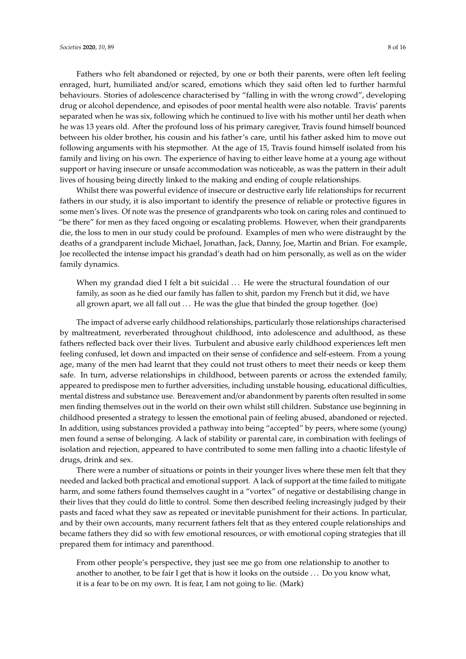Fathers who felt abandoned or rejected, by one or both their parents, were often left feeling enraged, hurt, humiliated and/or scared, emotions which they said often led to further harmful behaviours. Stories of adolescence characterised by "falling in with the wrong crowd", developing drug or alcohol dependence, and episodes of poor mental health were also notable. Travis' parents separated when he was six, following which he continued to live with his mother until her death when he was 13 years old. After the profound loss of his primary caregiver, Travis found himself bounced between his older brother, his cousin and his father's care, until his father asked him to move out following arguments with his stepmother. At the age of 15, Travis found himself isolated from his family and living on his own. The experience of having to either leave home at a young age without support or having insecure or unsafe accommodation was noticeable, as was the pattern in their adult lives of housing being directly linked to the making and ending of couple relationships.

Whilst there was powerful evidence of insecure or destructive early life relationships for recurrent fathers in our study, it is also important to identify the presence of reliable or protective figures in some men's lives. Of note was the presence of grandparents who took on caring roles and continued to "be there" for men as they faced ongoing or escalating problems. However, when their grandparents die, the loss to men in our study could be profound. Examples of men who were distraught by the deaths of a grandparent include Michael, Jonathan, Jack, Danny, Joe, Martin and Brian. For example, Joe recollected the intense impact his grandad's death had on him personally, as well as on the wider family dynamics.

When my grandad died I felt a bit suicidal ... He were the structural foundation of our family, as soon as he died our family has fallen to shit, pardon my French but it did, we have all grown apart, we all fall out  $\dots$  He was the glue that binded the group together. (Joe)

The impact of adverse early childhood relationships, particularly those relationships characterised by maltreatment, reverberated throughout childhood, into adolescence and adulthood, as these fathers reflected back over their lives. Turbulent and abusive early childhood experiences left men feeling confused, let down and impacted on their sense of confidence and self-esteem. From a young age, many of the men had learnt that they could not trust others to meet their needs or keep them safe. In turn, adverse relationships in childhood, between parents or across the extended family, appeared to predispose men to further adversities, including unstable housing, educational difficulties, mental distress and substance use. Bereavement and/or abandonment by parents often resulted in some men finding themselves out in the world on their own whilst still children. Substance use beginning in childhood presented a strategy to lessen the emotional pain of feeling abused, abandoned or rejected. In addition, using substances provided a pathway into being "accepted" by peers, where some (young) men found a sense of belonging. A lack of stability or parental care, in combination with feelings of isolation and rejection, appeared to have contributed to some men falling into a chaotic lifestyle of drugs, drink and sex.

There were a number of situations or points in their younger lives where these men felt that they needed and lacked both practical and emotional support. A lack of support at the time failed to mitigate harm, and some fathers found themselves caught in a "vortex" of negative or destabilising change in their lives that they could do little to control. Some then described feeling increasingly judged by their pasts and faced what they saw as repeated or inevitable punishment for their actions. In particular, and by their own accounts, many recurrent fathers felt that as they entered couple relationships and became fathers they did so with few emotional resources, or with emotional coping strategies that ill prepared them for intimacy and parenthood.

From other people's perspective, they just see me go from one relationship to another to another to another, to be fair I get that is how it looks on the outside . . . Do you know what, it is a fear to be on my own. It is fear, I am not going to lie. (Mark)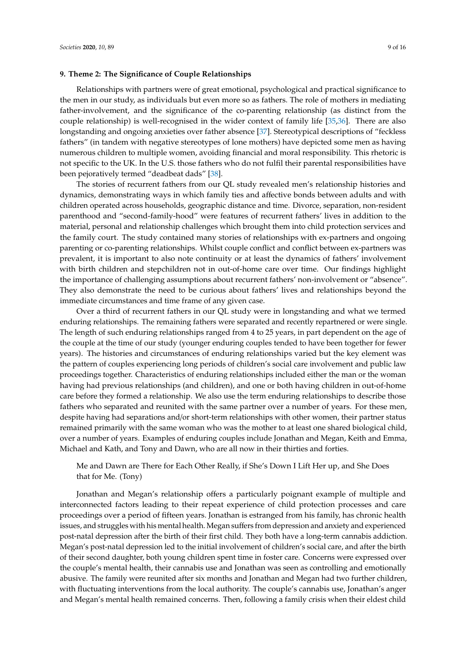Relationships with partners were of great emotional, psychological and practical significance to the men in our study, as individuals but even more so as fathers. The role of mothers in mediating father-involvement, and the significance of the co-parenting relationship (as distinct from the couple relationship) is well-recognised in the wider context of family life [\[35,](#page-14-20)[36\]](#page-14-21). There are also longstanding and ongoing anxieties over father absence [\[37\]](#page-14-22). Stereotypical descriptions of "feckless fathers" (in tandem with negative stereotypes of lone mothers) have depicted some men as having numerous children to multiple women, avoiding financial and moral responsibility. This rhetoric is not specific to the UK. In the U.S. those fathers who do not fulfil their parental responsibilities have been pejoratively termed "deadbeat dads" [\[38\]](#page-14-23).

The stories of recurrent fathers from our QL study revealed men's relationship histories and dynamics, demonstrating ways in which family ties and affective bonds between adults and with children operated across households, geographic distance and time. Divorce, separation, non-resident parenthood and "second-family-hood" were features of recurrent fathers' lives in addition to the material, personal and relationship challenges which brought them into child protection services and the family court. The study contained many stories of relationships with ex-partners and ongoing parenting or co-parenting relationships. Whilst couple conflict and conflict between ex-partners was prevalent, it is important to also note continuity or at least the dynamics of fathers' involvement with birth children and stepchildren not in out-of-home care over time. Our findings highlight the importance of challenging assumptions about recurrent fathers' non-involvement or "absence". They also demonstrate the need to be curious about fathers' lives and relationships beyond the immediate circumstances and time frame of any given case.

Over a third of recurrent fathers in our QL study were in longstanding and what we termed enduring relationships. The remaining fathers were separated and recently repartnered or were single. The length of such enduring relationships ranged from 4 to 25 years, in part dependent on the age of the couple at the time of our study (younger enduring couples tended to have been together for fewer years). The histories and circumstances of enduring relationships varied but the key element was the pattern of couples experiencing long periods of children's social care involvement and public law proceedings together. Characteristics of enduring relationships included either the man or the woman having had previous relationships (and children), and one or both having children in out-of-home care before they formed a relationship. We also use the term enduring relationships to describe those fathers who separated and reunited with the same partner over a number of years. For these men, despite having had separations and/or short-term relationships with other women, their partner status remained primarily with the same woman who was the mother to at least one shared biological child, over a number of years. Examples of enduring couples include Jonathan and Megan, Keith and Emma, Michael and Kath, and Tony and Dawn, who are all now in their thirties and forties.

Me and Dawn are There for Each Other Really, if She's Down I Lift Her up, and She Does that for Me. (Tony)

Jonathan and Megan's relationship offers a particularly poignant example of multiple and interconnected factors leading to their repeat experience of child protection processes and care proceedings over a period of fifteen years. Jonathan is estranged from his family, has chronic health issues, and struggles with his mental health. Megan suffers from depression and anxiety and experienced post-natal depression after the birth of their first child. They both have a long-term cannabis addiction. Megan's post-natal depression led to the initial involvement of children's social care, and after the birth of their second daughter, both young children spent time in foster care. Concerns were expressed over the couple's mental health, their cannabis use and Jonathan was seen as controlling and emotionally abusive. The family were reunited after six months and Jonathan and Megan had two further children, with fluctuating interventions from the local authority. The couple's cannabis use, Jonathan's anger and Megan's mental health remained concerns. Then, following a family crisis when their eldest child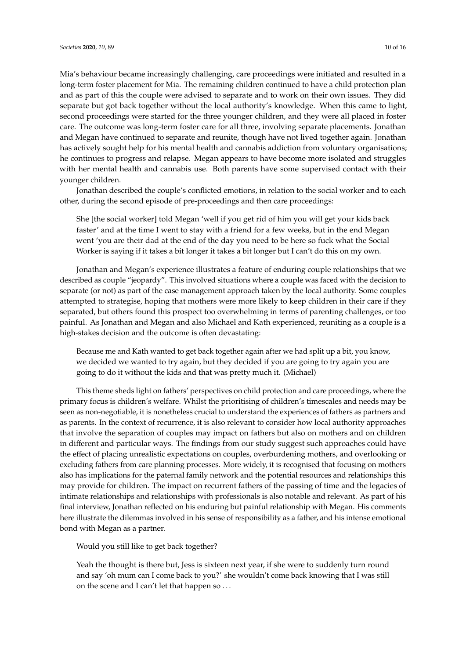Mia's behaviour became increasingly challenging, care proceedings were initiated and resulted in a long-term foster placement for Mia. The remaining children continued to have a child protection plan and as part of this the couple were advised to separate and to work on their own issues. They did separate but got back together without the local authority's knowledge. When this came to light, second proceedings were started for the three younger children, and they were all placed in foster care. The outcome was long-term foster care for all three, involving separate placements. Jonathan and Megan have continued to separate and reunite, though have not lived together again. Jonathan has actively sought help for his mental health and cannabis addiction from voluntary organisations; he continues to progress and relapse. Megan appears to have become more isolated and struggles with her mental health and cannabis use. Both parents have some supervised contact with their younger children.

Jonathan described the couple's conflicted emotions, in relation to the social worker and to each other, during the second episode of pre-proceedings and then care proceedings:

She [the social worker] told Megan 'well if you get rid of him you will get your kids back faster' and at the time I went to stay with a friend for a few weeks, but in the end Megan went 'you are their dad at the end of the day you need to be here so fuck what the Social Worker is saying if it takes a bit longer it takes a bit longer but I can't do this on my own.

Jonathan and Megan's experience illustrates a feature of enduring couple relationships that we described as couple "jeopardy". This involved situations where a couple was faced with the decision to separate (or not) as part of the case management approach taken by the local authority. Some couples attempted to strategise, hoping that mothers were more likely to keep children in their care if they separated, but others found this prospect too overwhelming in terms of parenting challenges, or too painful. As Jonathan and Megan and also Michael and Kath experienced, reuniting as a couple is a high-stakes decision and the outcome is often devastating:

Because me and Kath wanted to get back together again after we had split up a bit, you know, we decided we wanted to try again, but they decided if you are going to try again you are going to do it without the kids and that was pretty much it. (Michael)

This theme sheds light on fathers' perspectives on child protection and care proceedings, where the primary focus is children's welfare. Whilst the prioritising of children's timescales and needs may be seen as non-negotiable, it is nonetheless crucial to understand the experiences of fathers as partners and as parents. In the context of recurrence, it is also relevant to consider how local authority approaches that involve the separation of couples may impact on fathers but also on mothers and on children in different and particular ways. The findings from our study suggest such approaches could have the effect of placing unrealistic expectations on couples, overburdening mothers, and overlooking or excluding fathers from care planning processes. More widely, it is recognised that focusing on mothers also has implications for the paternal family network and the potential resources and relationships this may provide for children. The impact on recurrent fathers of the passing of time and the legacies of intimate relationships and relationships with professionals is also notable and relevant. As part of his final interview, Jonathan reflected on his enduring but painful relationship with Megan. His comments here illustrate the dilemmas involved in his sense of responsibility as a father, and his intense emotional bond with Megan as a partner.

Would you still like to get back together?

Yeah the thought is there but, Jess is sixteen next year, if she were to suddenly turn round and say 'oh mum can I come back to you?' she wouldn't come back knowing that I was still on the scene and I can't let that happen so . . .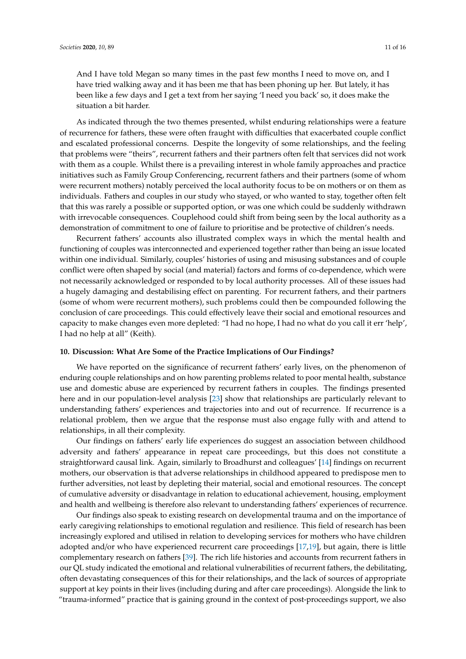And I have told Megan so many times in the past few months I need to move on, and I have tried walking away and it has been me that has been phoning up her. But lately, it has been like a few days and I get a text from her saying 'I need you back' so, it does make the situation a bit harder.

As indicated through the two themes presented, whilst enduring relationships were a feature of recurrence for fathers, these were often fraught with difficulties that exacerbated couple conflict and escalated professional concerns. Despite the longevity of some relationships, and the feeling that problems were "theirs", recurrent fathers and their partners often felt that services did not work with them as a couple. Whilst there is a prevailing interest in whole family approaches and practice initiatives such as Family Group Conferencing, recurrent fathers and their partners (some of whom were recurrent mothers) notably perceived the local authority focus to be on mothers or on them as individuals. Fathers and couples in our study who stayed, or who wanted to stay, together often felt that this was rarely a possible or supported option, or was one which could be suddenly withdrawn with irrevocable consequences. Couplehood could shift from being seen by the local authority as a demonstration of commitment to one of failure to prioritise and be protective of children's needs.

Recurrent fathers' accounts also illustrated complex ways in which the mental health and functioning of couples was interconnected and experienced together rather than being an issue located within one individual. Similarly, couples' histories of using and misusing substances and of couple conflict were often shaped by social (and material) factors and forms of co-dependence, which were not necessarily acknowledged or responded to by local authority processes. All of these issues had a hugely damaging and destabilising effect on parenting. For recurrent fathers, and their partners (some of whom were recurrent mothers), such problems could then be compounded following the conclusion of care proceedings. This could effectively leave their social and emotional resources and capacity to make changes even more depleted: "I had no hope, I had no what do you call it err 'help', I had no help at all" (Keith).

#### **10. Discussion: What Are Some of the Practice Implications of Our Findings?**

We have reported on the significance of recurrent fathers' early lives, on the phenomenon of enduring couple relationships and on how parenting problems related to poor mental health, substance use and domestic abuse are experienced by recurrent fathers in couples. The findings presented here and in our population-level analysis [\[23\]](#page-14-8) show that relationships are particularly relevant to understanding fathers' experiences and trajectories into and out of recurrence. If recurrence is a relational problem, then we argue that the response must also engage fully with and attend to relationships, in all their complexity.

Our findings on fathers' early life experiences do suggest an association between childhood adversity and fathers' appearance in repeat care proceedings, but this does not constitute a straightforward causal link. Again, similarly to Broadhurst and colleagues' [\[14\]](#page-13-12) findings on recurrent mothers, our observation is that adverse relationships in childhood appeared to predispose men to further adversities, not least by depleting their material, social and emotional resources. The concept of cumulative adversity or disadvantage in relation to educational achievement, housing, employment and health and wellbeing is therefore also relevant to understanding fathers' experiences of recurrence.

Our findings also speak to existing research on developmental trauma and on the importance of early caregiving relationships to emotional regulation and resilience. This field of research has been increasingly explored and utilised in relation to developing services for mothers who have children adopted and/or who have experienced recurrent care proceedings [\[17](#page-14-2)[,19\]](#page-14-4), but again, there is little complementary research on fathers [\[39\]](#page-14-24). The rich life histories and accounts from recurrent fathers in our QL study indicated the emotional and relational vulnerabilities of recurrent fathers, the debilitating, often devastating consequences of this for their relationships, and the lack of sources of appropriate support at key points in their lives (including during and after care proceedings). Alongside the link to "trauma-informed" practice that is gaining ground in the context of post-proceedings support, we also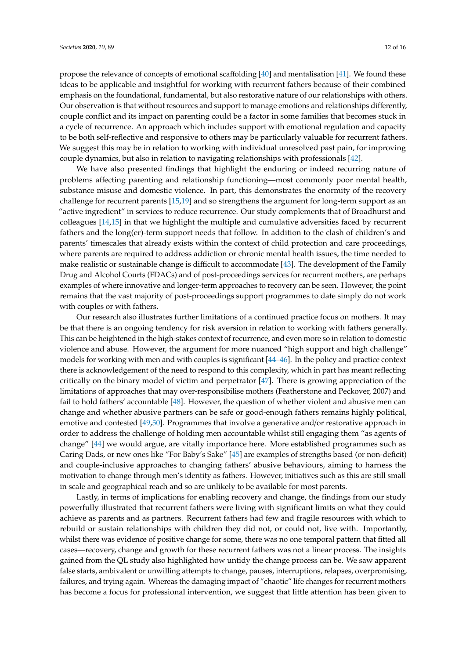propose the relevance of concepts of emotional scaffolding [\[40\]](#page-14-25) and mentalisation [\[41\]](#page-15-0). We found these ideas to be applicable and insightful for working with recurrent fathers because of their combined emphasis on the foundational, fundamental, but also restorative nature of our relationships with others. Our observation is that without resources and support to manage emotions and relationships differently, couple conflict and its impact on parenting could be a factor in some families that becomes stuck in a cycle of recurrence. An approach which includes support with emotional regulation and capacity to be both self-reflective and responsive to others may be particularly valuable for recurrent fathers. We suggest this may be in relation to working with individual unresolved past pain, for improving couple dynamics, but also in relation to navigating relationships with professionals [\[42\]](#page-15-1).

We have also presented findings that highlight the enduring or indeed recurring nature of problems affecting parenting and relationship functioning—most commonly poor mental health, substance misuse and domestic violence. In part, this demonstrates the enormity of the recovery challenge for recurrent parents [\[15](#page-14-0)[,19\]](#page-14-4) and so strengthens the argument for long-term support as an "active ingredient" in services to reduce recurrence. Our study complements that of Broadhurst and colleagues [\[14](#page-13-12)[,15\]](#page-14-0) in that we highlight the multiple and cumulative adversities faced by recurrent fathers and the long(er)-term support needs that follow. In addition to the clash of children's and parents' timescales that already exists within the context of child protection and care proceedings, where parents are required to address addiction or chronic mental health issues, the time needed to make realistic or sustainable change is difficult to accommodate [\[43\]](#page-15-2). The development of the Family Drug and Alcohol Courts (FDACs) and of post-proceedings services for recurrent mothers, are perhaps examples of where innovative and longer-term approaches to recovery can be seen. However, the point remains that the vast majority of post-proceedings support programmes to date simply do not work with couples or with fathers.

Our research also illustrates further limitations of a continued practice focus on mothers. It may be that there is an ongoing tendency for risk aversion in relation to working with fathers generally. This can be heightened in the high-stakes context of recurrence, and even more so in relation to domestic violence and abuse. However, the argument for more nuanced "high support and high challenge" models for working with men and with couples is significant [\[44–](#page-15-3)[46\]](#page-15-4). In the policy and practice context there is acknowledgement of the need to respond to this complexity, which in part has meant reflecting critically on the binary model of victim and perpetrator [\[47\]](#page-15-5). There is growing appreciation of the limitations of approaches that may over-responsibilise mothers (Featherstone and Peckover, 2007) and fail to hold fathers' accountable [\[48\]](#page-15-6). However, the question of whether violent and abusive men can change and whether abusive partners can be safe or good-enough fathers remains highly political, emotive and contested [\[49,](#page-15-7)[50\]](#page-15-8). Programmes that involve a generative and/or restorative approach in order to address the challenge of holding men accountable whilst still engaging them "as agents of change" [\[44\]](#page-15-3) we would argue, are vitally importance here. More established programmes such as Caring Dads, or new ones like "For Baby's Sake" [\[45\]](#page-15-9) are examples of strengths based (or non-deficit) and couple-inclusive approaches to changing fathers' abusive behaviours, aiming to harness the motivation to change through men's identity as fathers. However, initiatives such as this are still small in scale and geographical reach and so are unlikely to be available for most parents.

Lastly, in terms of implications for enabling recovery and change, the findings from our study powerfully illustrated that recurrent fathers were living with significant limits on what they could achieve as parents and as partners. Recurrent fathers had few and fragile resources with which to rebuild or sustain relationships with children they did not, or could not, live with. Importantly, whilst there was evidence of positive change for some, there was no one temporal pattern that fitted all cases—recovery, change and growth for these recurrent fathers was not a linear process. The insights gained from the QL study also highlighted how untidy the change process can be. We saw apparent false starts, ambivalent or unwilling attempts to change, pauses, interruptions, relapses, overpromising, failures, and trying again. Whereas the damaging impact of "chaotic" life changes for recurrent mothers has become a focus for professional intervention, we suggest that little attention has been given to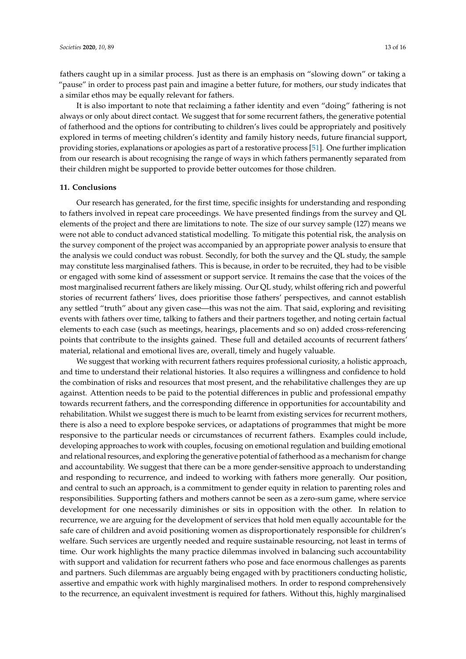fathers caught up in a similar process. Just as there is an emphasis on "slowing down" or taking a "pause" in order to process past pain and imagine a better future, for mothers, our study indicates that a similar ethos may be equally relevant for fathers.

It is also important to note that reclaiming a father identity and even "doing" fathering is not always or only about direct contact. We suggest that for some recurrent fathers, the generative potential of fatherhood and the options for contributing to children's lives could be appropriately and positively explored in terms of meeting children's identity and family history needs, future financial support, providing stories, explanations or apologies as part of a restorative process [\[51\]](#page-15-10). One further implication from our research is about recognising the range of ways in which fathers permanently separated from their children might be supported to provide better outcomes for those children.

#### **11. Conclusions**

Our research has generated, for the first time, specific insights for understanding and responding to fathers involved in repeat care proceedings. We have presented findings from the survey and QL elements of the project and there are limitations to note. The size of our survey sample (127) means we were not able to conduct advanced statistical modelling. To mitigate this potential risk, the analysis on the survey component of the project was accompanied by an appropriate power analysis to ensure that the analysis we could conduct was robust. Secondly, for both the survey and the QL study, the sample may constitute less marginalised fathers. This is because, in order to be recruited, they had to be visible or engaged with some kind of assessment or support service. It remains the case that the voices of the most marginalised recurrent fathers are likely missing. Our QL study, whilst offering rich and powerful stories of recurrent fathers' lives, does prioritise those fathers' perspectives, and cannot establish any settled "truth" about any given case—this was not the aim. That said, exploring and revisiting events with fathers over time, talking to fathers and their partners together, and noting certain factual elements to each case (such as meetings, hearings, placements and so on) added cross-referencing points that contribute to the insights gained. These full and detailed accounts of recurrent fathers' material, relational and emotional lives are, overall, timely and hugely valuable.

We suggest that working with recurrent fathers requires professional curiosity, a holistic approach, and time to understand their relational histories. It also requires a willingness and confidence to hold the combination of risks and resources that most present, and the rehabilitative challenges they are up against. Attention needs to be paid to the potential differences in public and professional empathy towards recurrent fathers, and the corresponding difference in opportunities for accountability and rehabilitation. Whilst we suggest there is much to be learnt from existing services for recurrent mothers, there is also a need to explore bespoke services, or adaptations of programmes that might be more responsive to the particular needs or circumstances of recurrent fathers. Examples could include, developing approaches to work with couples, focusing on emotional regulation and building emotional and relational resources, and exploring the generative potential of fatherhood as a mechanism for change and accountability. We suggest that there can be a more gender-sensitive approach to understanding and responding to recurrence, and indeed to working with fathers more generally. Our position, and central to such an approach, is a commitment to gender equity in relation to parenting roles and responsibilities. Supporting fathers and mothers cannot be seen as a zero-sum game, where service development for one necessarily diminishes or sits in opposition with the other. In relation to recurrence, we are arguing for the development of services that hold men equally accountable for the safe care of children and avoid positioning women as disproportionately responsible for children's welfare. Such services are urgently needed and require sustainable resourcing, not least in terms of time. Our work highlights the many practice dilemmas involved in balancing such accountability with support and validation for recurrent fathers who pose and face enormous challenges as parents and partners. Such dilemmas are arguably being engaged with by practitioners conducting holistic, assertive and empathic work with highly marginalised mothers. In order to respond comprehensively to the recurrence, an equivalent investment is required for fathers. Without this, highly marginalised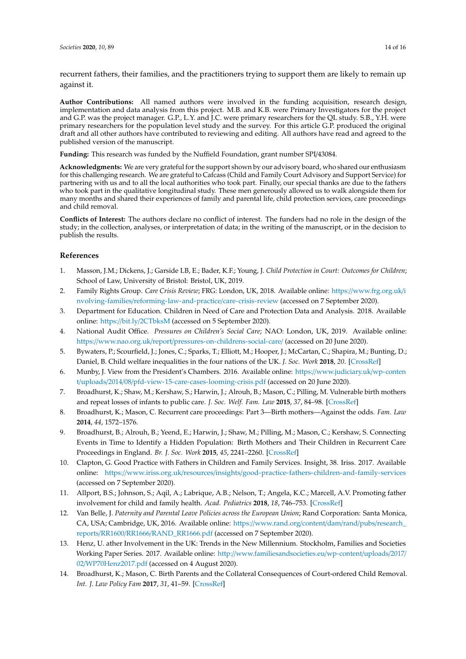recurrent fathers, their families, and the practitioners trying to support them are likely to remain up against it.

**Author Contributions:** All named authors were involved in the funding acquisition, research design, implementation and data analysis from this project. M.B. and K.B. were Primary Investigators for the project and G.P. was the project manager. G.P., L.Y. and J.C. were primary researchers for the QL study. S.B., Y.H. were primary researchers for the population level study and the survey. For this article G.P. produced the original draft and all other authors have contributed to reviewing and editing. All authors have read and agreed to the published version of the manuscript.

**Funding:** This research was funded by the Nuffield Foundation, grant number SPI/43084.

**Acknowledgments:** We are very grateful for the support shown by our advisory board, who shared our enthusiasm for this challenging research. We are grateful to Cafcass (Child and Family Court Advisory and Support Service) for partnering with us and to all the local authorities who took part. Finally, our special thanks are due to the fathers who took part in the qualitative longitudinal study. These men generously allowed us to walk alongside them for many months and shared their experiences of family and parental life, child protection services, care proceedings and child removal.

**Conflicts of Interest:** The authors declare no conflict of interest. The funders had no role in the design of the study; in the collection, analyses, or interpretation of data; in the writing of the manuscript, or in the decision to publish the results.

### **References**

- <span id="page-13-0"></span>1. Masson, J.M.; Dickens, J.; Garside LB, E.; Bader, K.F.; Young, J. *Child Protection in Court: Outcomes for Children*; School of Law, University of Bristol: Bristol, UK, 2019.
- <span id="page-13-1"></span>2. Family Rights Group. *Care Crisis Review*; FRG: London, UK, 2018. Available online: https://[www.frg.org.uk](https://www.frg.org.uk/involving-families/reforming-law-and-practice/care-crisis-review)/i nvolving-families/[reforming-law-and-practice](https://www.frg.org.uk/involving-families/reforming-law-and-practice/care-crisis-review)/care-crisis-review (accessed on 7 September 2020).
- <span id="page-13-2"></span>3. Department for Education. Children in Need of Care and Protection Data and Analysis. 2018. Available online: https://bit.ly/[2CTbksM](https://bit.ly/2CTbksM) (accessed on 5 September 2020).
- 4. National Audit Office. *Pressures on Children's Social Care*; NAO: London, UK, 2019. Available online: https://www.nao.org.uk/report/[pressures-on-childrens-social-care](https://www.nao.org.uk/report/pressures-on-childrens-social-care/)/ (accessed on 20 June 2020).
- <span id="page-13-3"></span>5. Bywaters, P.; Scourfield, J.; Jones, C.; Sparks, T.; Elliott, M.; Hooper, J.; McCartan, C.; Shapira, M.; Bunting, D.; Daniel, B. Child welfare inequalities in the four nations of the UK. *J. Soc. Work* **2018**, *20*. [\[CrossRef\]](http://dx.doi.org/10.1177/1468017318793479)
- <span id="page-13-4"></span>6. Munby, J. View from the President's Chambers. 2016. Available online: https://[www.judiciary.uk](https://www.judiciary.uk/wp-content/uploads/2014/08/pfd-view-15-care-cases-looming-crisis.pdf)/wp-conten t/uploads/2014/08/[pfd-view-15-care-cases-looming-crisis.pdf](https://www.judiciary.uk/wp-content/uploads/2014/08/pfd-view-15-care-cases-looming-crisis.pdf) (accessed on 20 June 2020).
- <span id="page-13-5"></span>7. Broadhurst, K.; Shaw, M.; Kershaw, S.; Harwin, J.; Alrouh, B.; Mason, C.; Pilling, M. Vulnerable birth mothers and repeat losses of infants to public care. *J. Soc. Welf. Fam. Law* **2015**, *37*, 84–98. [\[CrossRef\]](http://dx.doi.org/10.1080/09649069.2015.998007)
- <span id="page-13-6"></span>8. Broadhurst, K.; Mason, C. Recurrent care proceedings: Part 3—Birth mothers—Against the odds. *Fam. Law* **2014**, *44*, 1572–1576.
- <span id="page-13-7"></span>9. Broadhurst, B.; Alrouh, B.; Yeend, E.; Harwin, J.; Shaw, M.; Pilling, M.; Mason, C.; Kershaw, S. Connecting Events in Time to Identify a Hidden Population: Birth Mothers and Their Children in Recurrent Care Proceedings in England. *Br. J. Soc. Work* **2015**, *45*, 2241–2260. [\[CrossRef\]](http://dx.doi.org/10.1093/bjsw/bcv130)
- <span id="page-13-8"></span>10. Clapton, G. Good Practice with Fathers in Children and Family Services. Insight, 38. Iriss. 2017. Available online: https://www.iriss.org.uk/resources/insights/[good-practice-fathers-children-and-family-services](https://www.iriss.org.uk/resources/insights/good-practice-fathers-children-and-family-services) (accessed on 7 September 2020).
- <span id="page-13-9"></span>11. Allport, B.S.; Johnson, S.; Aqil, A.; Labrique, A.B.; Nelson, T.; Angela, K.C.; Marcell, A.V. Promoting father involvement for child and family health. *Acad. Pediatrics* **2018**, *18*, 746–753. [\[CrossRef\]](http://dx.doi.org/10.1016/j.acap.2018.03.011)
- <span id="page-13-10"></span>12. Van Belle, J. *Paternity and Parental Leave Policies across the European Union*; Rand Corporation: Santa Monica, CA, USA; Cambridge, UK, 2016. Available online: https://[www.rand.org](https://www.rand.org/content/dam/rand/pubs/research_reports/RR1600/RR1666/RAND_RR1666.pdf)/content/dam/rand/pubs/research\_ reports/RR1600/RR1666/[RAND\\_RR1666.pdf](https://www.rand.org/content/dam/rand/pubs/research_reports/RR1600/RR1666/RAND_RR1666.pdf) (accessed on 7 September 2020).
- <span id="page-13-11"></span>13. Henz, U. ather Involvement in the UK: Trends in the New Millennium. Stockholm, Families and Societies Working Paper Series. 2017. Available online: http://[www.familiesandsocieties.eu](http://www.familiesandsocieties.eu/wp-content/uploads/2017/02/WP70Henz2017.pdf)/wp-content/uploads/2017/ 02/[WP70Henz2017.pdf](http://www.familiesandsocieties.eu/wp-content/uploads/2017/02/WP70Henz2017.pdf) (accessed on 4 August 2020).
- <span id="page-13-12"></span>14. Broadhurst, K.; Mason, C. Birth Parents and the Collateral Consequences of Court-ordered Child Removal. *Int. J. Law Policy Fam* **2017**, *31*, 41–59. [\[CrossRef\]](http://dx.doi.org/10.1093/lawfam/ebw013)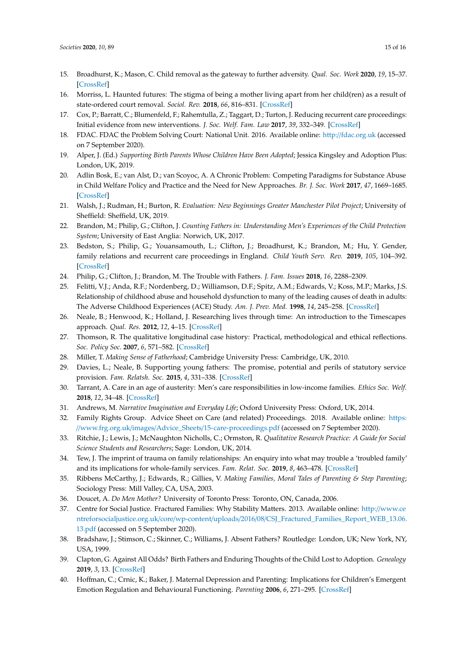- <span id="page-14-0"></span>15. Broadhurst, K.; Mason, C. Child removal as the gateway to further adversity. *Qual. Soc. Work* **2020**, *19*, 15–37. [\[CrossRef\]](http://dx.doi.org/10.1177/1473325019893412)
- <span id="page-14-1"></span>16. Morriss, L. Haunted futures: The stigma of being a mother living apart from her child(ren) as a result of state-ordered court removal. *Sociol. Rev.* **2018**, *66*, 816–831. [\[CrossRef\]](http://dx.doi.org/10.1177/0038026118777448)
- <span id="page-14-2"></span>17. Cox, P.; Barratt, C.; Blumenfeld, F.; Rahemtulla, Z.; Taggart, D.; Turton, J. Reducing recurrent care proceedings: Initial evidence from new interventions. *J. Soc. Welf. Fam. Law* **2017**, *39*, 332–349. [\[CrossRef\]](http://dx.doi.org/10.1080/09649069.2017.1345083)
- <span id="page-14-3"></span>18. FDAC. FDAC the Problem Solving Court: National Unit. 2016. Available online: http://[fdac.org.uk](http://fdac.org.uk) (accessed on 7 September 2020).
- <span id="page-14-4"></span>19. Alper, J. (Ed.) *Supporting Birth Parents Whose Children Have Been Adopted*; Jessica Kingsley and Adoption Plus: London, UK, 2019.
- <span id="page-14-5"></span>20. Adlin Bosk, E.; van Alst, D.; van Scoyoc, A. A Chronic Problem: Competing Paradigms for Substance Abuse in Child Welfare Policy and Practice and the Need for New Approaches. *Br. J. Soc. Work* **2017**, *47*, 1669–1685. [\[CrossRef\]](http://dx.doi.org/10.1093/bjsw/bcx095)
- <span id="page-14-6"></span>21. Walsh, J.; Rudman, H.; Burton, R. *Evaluation: New Beginnings Greater Manchester Pilot Project*; University of Sheffield: Sheffield, UK, 2019.
- <span id="page-14-7"></span>22. Brandon, M.; Philip, G.; Clifton, J. *Counting Fathers in: Understanding Men's Experiences of the Child Protection System*; University of East Anglia: Norwich, UK, 2017.
- <span id="page-14-8"></span>23. Bedston, S.; Philip, G.; Youansamouth, L.; Clifton, J.; Broadhurst, K.; Brandon, M.; Hu, Y. Gender, family relations and recurrent care proceedings in England. *Child Youth Serv. Rev.* **2019**, *105*, 104–392. [\[CrossRef\]](http://dx.doi.org/10.1016/j.childyouth.2019.104392)
- <span id="page-14-9"></span>24. Philip, G.; Clifton, J.; Brandon, M. The Trouble with Fathers. *J. Fam. Issues* **2018**, *16*, 2288–2309.
- <span id="page-14-10"></span>25. Felitti, V.J.; Anda, R.F.; Nordenberg, D.; Williamson, D.F.; Spitz, A.M.; Edwards, V.; Koss, M.P.; Marks, J.S. Relationship of childhood abuse and household dysfunction to many of the leading causes of death in adults: The Adverse Childhood Experiences (ACE) Study. *Am. J. Prev. Med.* **1998**, *14*, 245–258. [\[CrossRef\]](http://dx.doi.org/10.1016/S0749-3797(98)00017-8)
- <span id="page-14-11"></span>26. Neale, B.; Henwood, K.; Holland, J. Researching lives through time: An introduction to the Timescapes approach. *Qual. Res.* **2012**, *12*, 4–15. [\[CrossRef\]](http://dx.doi.org/10.1177/1468794111426229)
- <span id="page-14-12"></span>27. Thomson, R. The qualitative longitudinal case history: Practical, methodological and ethical reflections. *Soc. Policy Soc.* **2007**, *6*, 571–582. [\[CrossRef\]](http://dx.doi.org/10.1017/S1474746407003909)
- <span id="page-14-13"></span>28. Miller, T. *Making Sense of Fatherhood*; Cambridge University Press: Cambridge, UK, 2010.
- <span id="page-14-14"></span>29. Davies, L.; Neale, B. Supporting young fathers: The promise, potential and perils of statutory service provision. *Fam. Relatsh. Soc.* **2015**, *4*, 331–338. [\[CrossRef\]](http://dx.doi.org/10.1332/204674315X14351554435189)
- <span id="page-14-15"></span>30. Tarrant, A. Care in an age of austerity: Men's care responsibilities in low-income families. *Ethics Soc. Welf.* **2018**, *12*, 34–48. [\[CrossRef\]](http://dx.doi.org/10.1080/17496535.2017.1413581)
- <span id="page-14-16"></span>31. Andrews, M. *Narrative Imagination and Everyday Life*; Oxford University Press: Oxford, UK, 2014.
- <span id="page-14-17"></span>32. Family Rights Group. Advice Sheet on Care (and related) Proceedings. 2018. Available online: [https:](https://www.frg.org.uk/images/Advice_Sheets/15-care-proceedings.pdf) //www.frg.org.uk/images/Advice\_Sheets/[15-care-proceedings.pdf](https://www.frg.org.uk/images/Advice_Sheets/15-care-proceedings.pdf) (accessed on 7 September 2020).
- <span id="page-14-18"></span>33. Ritchie, J.; Lewis, J.; McNaughton Nicholls, C.; Ormston, R. *Qualitative Research Practice: A Guide for Social Science Students and Researchers*; Sage: London, UK, 2014.
- <span id="page-14-19"></span>34. Tew, J. The imprint of trauma on family relationships: An enquiry into what may trouble a 'troubled family' and its implications for whole-family services. *Fam. Relat. Soc.* **2019**, *8*, 463–478. [\[CrossRef\]](http://dx.doi.org/10.1332/204674318X15332944579247)
- <span id="page-14-20"></span>35. Ribbens McCarthy, J.; Edwards, R.; Gillies, V. *Making Families, Moral Tales of Parenting & Step Parenting*; Sociology Press: Mill Valley, CA, USA, 2003.
- <span id="page-14-21"></span>36. Doucet, A. *Do Men Mother?* University of Toronto Press: Toronto, ON, Canada, 2006.
- <span id="page-14-22"></span>37. Centre for Social Justice. Fractured Families: Why Stability Matters. 2013. Available online: http://[www.ce](http://www.centreforsocialjustice.org.uk/core/wp-content/uploads/2016/08/CSJ_Fractured_Families_Report_WEB_13.06.13.pdf) ntreforsocialjustice.org.uk/core/wp-content/uploads/2016/08/[CSJ\\_Fractured\\_Families\\_Report\\_WEB\\_13.06.](http://www.centreforsocialjustice.org.uk/core/wp-content/uploads/2016/08/CSJ_Fractured_Families_Report_WEB_13.06.13.pdf) [13.pdf](http://www.centreforsocialjustice.org.uk/core/wp-content/uploads/2016/08/CSJ_Fractured_Families_Report_WEB_13.06.13.pdf) (accessed on 5 September 2020).
- <span id="page-14-23"></span>38. Bradshaw, J.; Stimson, C.; Skinner, C.; Williams, J. Absent Fathers? Routledge: London, UK; New York, NY, USA, 1999.
- <span id="page-14-24"></span>39. Clapton, G. Against All Odds? Birth Fathers and Enduring Thoughts of the Child Lost to Adoption. *Genealogy* **2019**, *3*, 13. [\[CrossRef\]](http://dx.doi.org/10.3390/genealogy3020013)
- <span id="page-14-25"></span>40. Hoffman, C.; Crnic, K.; Baker, J. Maternal Depression and Parenting: Implications for Children's Emergent Emotion Regulation and Behavioural Functioning. *Parenting* **2006**, *6*, 271–295. [\[CrossRef\]](http://dx.doi.org/10.1207/s15327922par0604_1)